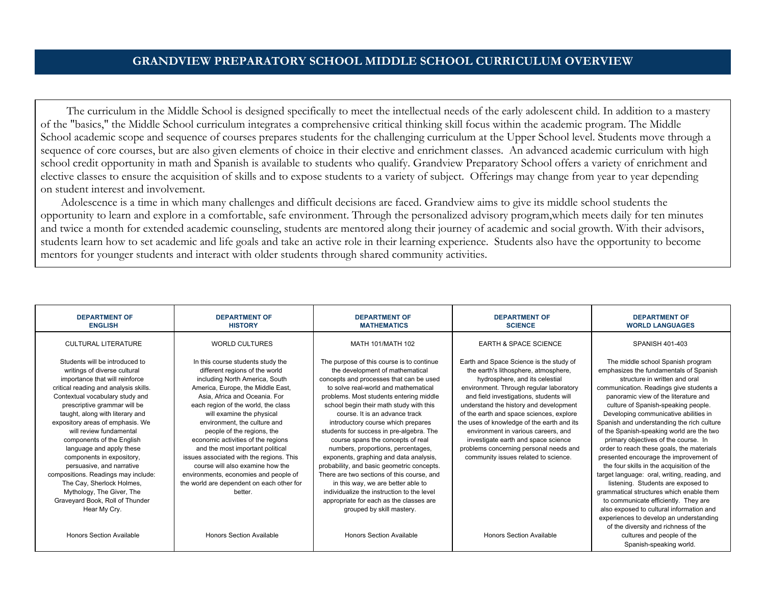## **GRANDVIEW PREPARATORY SCHOOL MIDDLE SCHOOL CURRICULUM OVERVIEW**

The curriculum in the Middle School is designed specifically to meet the intellectual needs of the early adolescent child. In addition to a mastery of the "basics," the Middle School curriculum integrates a comprehensive critical thinking skill focus within the academic program. The Middle School academic scope and sequence of courses prepares students for the challenging curriculum at the Upper School level. Students move through a sequence of core courses, but are also given elements of choice in their elective and enrichment classes. An advanced academic curriculum with high school credit opportunity in math and Spanish is available to students who qualify. Grandview Preparatory School offers a variety of enrichment and elective classes to ensure the acquisition of skills and to expose students to a variety of subject. Offerings may change from year to year depending on student interest and involvement.

Adolescence is a time in which many challenges and difficult decisions are faced. Grandview aims to give its middle school students the opportunity to learn and explore in a comfortable, safe environment. Through the personalized advisory program,which meets daily for ten minutes and twice a month for extended academic counseling, students are mentored along their journey of academic and social growth. With their advisors, students learn how to set academic and life goals and take an active role in their learning experience. Students also have the opportunity to become mentors for younger students and interact with older students through shared community activities.

| <b>DEPARTMENT OF</b><br><b>ENGLISH</b>                                                                                                                                                                                                                                                                                                                                                                                                                                                                                                                                                | <b>DEPARTMENT OF</b><br><b>HISTORY</b>                                                                                                                                                                                                                                                                                                                                                                                                                                                                                                                                   | <b>DEPARTMENT OF</b><br><b>MATHEMATICS</b>                                                                                                                                                                                                                                                                                                                                                                                                                                                                                                                                                                                                                                                                                                             | <b>DEPARTMENT OF</b><br><b>SCIENCE</b>                                                                                                                                                                                                                                                                                                                                                                                                                                                                      | <b>DEPARTMENT OF</b><br><b>WORLD LANGUAGES</b>                                                                                                                                                                                                                                                                                                                                                                                                                                                                                                                                                                                                                                                                                                                               |
|---------------------------------------------------------------------------------------------------------------------------------------------------------------------------------------------------------------------------------------------------------------------------------------------------------------------------------------------------------------------------------------------------------------------------------------------------------------------------------------------------------------------------------------------------------------------------------------|--------------------------------------------------------------------------------------------------------------------------------------------------------------------------------------------------------------------------------------------------------------------------------------------------------------------------------------------------------------------------------------------------------------------------------------------------------------------------------------------------------------------------------------------------------------------------|--------------------------------------------------------------------------------------------------------------------------------------------------------------------------------------------------------------------------------------------------------------------------------------------------------------------------------------------------------------------------------------------------------------------------------------------------------------------------------------------------------------------------------------------------------------------------------------------------------------------------------------------------------------------------------------------------------------------------------------------------------|-------------------------------------------------------------------------------------------------------------------------------------------------------------------------------------------------------------------------------------------------------------------------------------------------------------------------------------------------------------------------------------------------------------------------------------------------------------------------------------------------------------|------------------------------------------------------------------------------------------------------------------------------------------------------------------------------------------------------------------------------------------------------------------------------------------------------------------------------------------------------------------------------------------------------------------------------------------------------------------------------------------------------------------------------------------------------------------------------------------------------------------------------------------------------------------------------------------------------------------------------------------------------------------------------|
| <b>CULTURAL LITERATURE</b>                                                                                                                                                                                                                                                                                                                                                                                                                                                                                                                                                            | <b>WORLD CULTURES</b>                                                                                                                                                                                                                                                                                                                                                                                                                                                                                                                                                    | MATH 101/MATH 102                                                                                                                                                                                                                                                                                                                                                                                                                                                                                                                                                                                                                                                                                                                                      | <b>EARTH &amp; SPACE SCIENCE</b>                                                                                                                                                                                                                                                                                                                                                                                                                                                                            | SPANISH 401-403                                                                                                                                                                                                                                                                                                                                                                                                                                                                                                                                                                                                                                                                                                                                                              |
| Students will be introduced to<br>writings of diverse cultural<br>importance that will reinforce<br>critical reading and analysis skills.<br>Contextual vocabulary study and<br>prescriptive grammar will be<br>taught, along with literary and<br>expository areas of emphasis. We<br>will review fundamental<br>components of the English<br>language and apply these<br>components in expository,<br>persuasive, and narrative<br>compositions. Readings may include:<br>The Cay, Sherlock Holmes,<br>Mythology, The Giver, The<br>Graveyard Book, Roll of Thunder<br>Hear My Cry. | In this course students study the<br>different regions of the world<br>including North America, South<br>America, Europe, the Middle East,<br>Asia, Africa and Oceania, For<br>each region of the world, the class<br>will examine the physical<br>environment, the culture and<br>people of the regions, the<br>economic activities of the regions<br>and the most important political<br>issues associated with the regions. This<br>course will also examine how the<br>environments, economies and people of<br>the world are dependent on each other for<br>better. | The purpose of this course is to continue<br>the development of mathematical<br>concepts and processes that can be used<br>to solve real-world and mathematical<br>problems. Most students entering middle<br>school begin their math study with this<br>course. It is an advance track<br>introductory course which prepares<br>students for success in pre-algebra. The<br>course spans the concepts of real<br>numbers, proportions, percentages,<br>exponents, graphing and data analysis,<br>probability, and basic geometric concepts.<br>There are two sections of this course, and<br>in this way, we are better able to<br>individualize the instruction to the level<br>appropriate for each as the classes are<br>grouped by skill mastery. | Earth and Space Science is the study of<br>the earth's lithosphere, atmosphere,<br>hydrosphere, and its celestial<br>environment. Through regular laboratory<br>and field investigations, students will<br>understand the history and development<br>of the earth and space sciences, explore<br>the uses of knowledge of the earth and its<br>environment in various careers, and<br>investigate earth and space science<br>problems concerning personal needs and<br>community issues related to science. | The middle school Spanish program<br>emphasizes the fundamentals of Spanish<br>structure in written and oral<br>communication. Readings give students a<br>panoramic view of the literature and<br>culture of Spanish-speaking people.<br>Developing communicative abilities in<br>Spanish and understanding the rich culture<br>of the Spanish-speaking world are the two<br>primary objectives of the course. In<br>order to reach these goals, the materials<br>presented encourage the improvement of<br>the four skills in the acquisition of the<br>target language: oral, writing, reading, and<br>listening. Students are exposed to<br>grammatical structures which enable them<br>to communicate efficiently. They are<br>also exposed to cultural information and |
| <b>Honors Section Available</b>                                                                                                                                                                                                                                                                                                                                                                                                                                                                                                                                                       | <b>Honors Section Available</b>                                                                                                                                                                                                                                                                                                                                                                                                                                                                                                                                          | <b>Honors Section Available</b>                                                                                                                                                                                                                                                                                                                                                                                                                                                                                                                                                                                                                                                                                                                        | <b>Honors Section Available</b>                                                                                                                                                                                                                                                                                                                                                                                                                                                                             | experiences to develop an understanding<br>of the diversity and richness of the<br>cultures and people of the<br>Spanish-speaking world.                                                                                                                                                                                                                                                                                                                                                                                                                                                                                                                                                                                                                                     |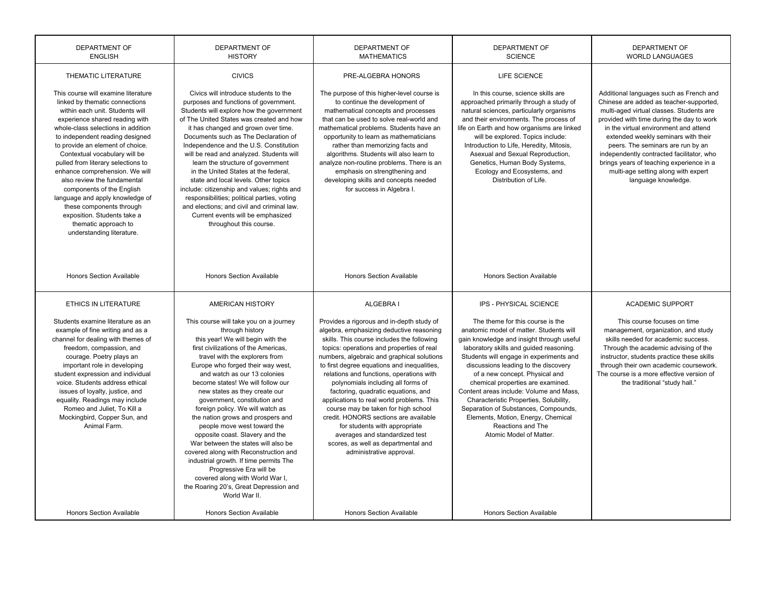| <b>DEPARTMENT OF</b><br><b>ENGLISH</b>                                                                                                                                                                                                                                                                                                                                                                                                                                                                                                                                          | <b>DEPARTMENT OF</b><br><b>HISTORY</b>                                                                                                                                                                                                                                                                                                                                                                                                                                                                                                                                                                                                                                                                                                            | <b>DEPARTMENT OF</b><br><b>DEPARTMENT OF</b><br><b>MATHEMATICS</b><br><b>SCIENCE</b>                                                                                                                                                                                                                                                                                                                                                                                                                                                                                                                                                                                      |                                                                                                                                                                                                                                                                                                                                                                                                                                                                                                                                                  | <b>DEPARTMENT OF</b><br><b>WORLD LANGUAGES</b>                                                                                                                                                                                                                                                                                                                                                                                                          |
|---------------------------------------------------------------------------------------------------------------------------------------------------------------------------------------------------------------------------------------------------------------------------------------------------------------------------------------------------------------------------------------------------------------------------------------------------------------------------------------------------------------------------------------------------------------------------------|---------------------------------------------------------------------------------------------------------------------------------------------------------------------------------------------------------------------------------------------------------------------------------------------------------------------------------------------------------------------------------------------------------------------------------------------------------------------------------------------------------------------------------------------------------------------------------------------------------------------------------------------------------------------------------------------------------------------------------------------------|---------------------------------------------------------------------------------------------------------------------------------------------------------------------------------------------------------------------------------------------------------------------------------------------------------------------------------------------------------------------------------------------------------------------------------------------------------------------------------------------------------------------------------------------------------------------------------------------------------------------------------------------------------------------------|--------------------------------------------------------------------------------------------------------------------------------------------------------------------------------------------------------------------------------------------------------------------------------------------------------------------------------------------------------------------------------------------------------------------------------------------------------------------------------------------------------------------------------------------------|---------------------------------------------------------------------------------------------------------------------------------------------------------------------------------------------------------------------------------------------------------------------------------------------------------------------------------------------------------------------------------------------------------------------------------------------------------|
| THEMATIC LITERATURE                                                                                                                                                                                                                                                                                                                                                                                                                                                                                                                                                             | <b>CIVICS</b>                                                                                                                                                                                                                                                                                                                                                                                                                                                                                                                                                                                                                                                                                                                                     | PRE-ALGEBRA HONORS                                                                                                                                                                                                                                                                                                                                                                                                                                                                                                                                                                                                                                                        | LIFE SCIENCE                                                                                                                                                                                                                                                                                                                                                                                                                                                                                                                                     |                                                                                                                                                                                                                                                                                                                                                                                                                                                         |
| This course will examine literature<br>linked by thematic connections<br>within each unit. Students will<br>experience shared reading with<br>whole-class selections in addition<br>to independent reading designed<br>to provide an element of choice.<br>Contextual vocabulary will be<br>pulled from literary selections to<br>enhance comprehension. We will<br>also review the fundamental<br>components of the English<br>language and apply knowledge of<br>these components through<br>exposition. Students take a<br>thematic approach to<br>understanding literature. | Civics will introduce students to the<br>purposes and functions of government.<br>Students will explore how the government<br>of The United States was created and how<br>it has changed and grown over time.<br>Documents such as The Declaration of<br>Independence and the U.S. Constitution<br>will be read and analyzed. Students will<br>learn the structure of government<br>in the United States at the federal,<br>state and local levels. Other topics<br>include: citizenship and values; rights and<br>responsibilities; political parties, voting<br>and elections: and civil and criminal law.<br>Current events will be emphasized<br>throughout this course.                                                                      | The purpose of this higher-level course is<br>to continue the development of<br>mathematical concepts and processes<br>that can be used to solve real-world and<br>mathematical problems. Students have an<br>opportunity to learn as mathematicians<br>rather than memorizing facts and<br>algorithms. Students will also learn to<br>analyze non-routine problems. There is an<br>emphasis on strengthening and<br>developing skills and concepts needed<br>for success in Algebra I.                                                                                                                                                                                   | In this course, science skills are<br>approached primarily through a study of<br>natural sciences, particularly organisms<br>and their environments. The process of<br>life on Earth and how organisms are linked<br>will be explored. Topics include:<br>Introduction to Life, Heredity, Mitosis,<br>Asexual and Sexual Reproduction,<br>Genetics, Human Body Systems,<br>Ecology and Ecosystems, and<br>Distribution of Life.                                                                                                                  | Additional languages such as French and<br>Chinese are added as teacher-supported,<br>multi-aged virtual classes. Students are<br>provided with time during the day to work<br>in the virtual environment and attend<br>extended weekly seminars with their<br>peers. The seminars are run by an<br>independently contracted facilitator, who<br>brings years of teaching experience in a<br>multi-age setting along with expert<br>language knowledge. |
| Honors Section Available                                                                                                                                                                                                                                                                                                                                                                                                                                                                                                                                                        | Honors Section Available                                                                                                                                                                                                                                                                                                                                                                                                                                                                                                                                                                                                                                                                                                                          | Honors Section Available                                                                                                                                                                                                                                                                                                                                                                                                                                                                                                                                                                                                                                                  | Honors Section Available                                                                                                                                                                                                                                                                                                                                                                                                                                                                                                                         |                                                                                                                                                                                                                                                                                                                                                                                                                                                         |
| <b>ETHICS IN LITERATURE</b>                                                                                                                                                                                                                                                                                                                                                                                                                                                                                                                                                     | AMERICAN HISTORY                                                                                                                                                                                                                                                                                                                                                                                                                                                                                                                                                                                                                                                                                                                                  | ALGEBRA I                                                                                                                                                                                                                                                                                                                                                                                                                                                                                                                                                                                                                                                                 | IPS - PHYSICAL SCIENCE                                                                                                                                                                                                                                                                                                                                                                                                                                                                                                                           | <b>ACADEMIC SUPPORT</b>                                                                                                                                                                                                                                                                                                                                                                                                                                 |
| Students examine literature as an<br>example of fine writing and as a<br>channel for dealing with themes of<br>freedom, compassion, and<br>courage. Poetry plays an<br>important role in developing<br>student expression and individual<br>voice. Students address ethical<br>issues of loyalty, justice, and<br>equality. Readings may include<br>Romeo and Juliet, To Kill a<br>Mockingbird, Copper Sun, and<br>Animal Farm.                                                                                                                                                 | This course will take you on a journey<br>through history<br>this year! We will begin with the<br>first civilizations of the Americas.<br>travel with the explorers from<br>Europe who forged their way west,<br>and watch as our 13 colonies<br>become states! We will follow our<br>new states as they create our<br>government, constitution and<br>foreign policy. We will watch as<br>the nation grows and prospers and<br>people move west toward the<br>opposite coast. Slavery and the<br>War between the states will also be<br>covered along with Reconstruction and<br>industrial growth. If time permits The<br>Progressive Era will be<br>covered along with World War I,<br>the Roaring 20's, Great Depression and<br>World War II. | Provides a rigorous and in-depth study of<br>algebra, emphasizing deductive reasoning<br>skills. This course includes the following<br>topics: operations and properties of real<br>numbers, algebraic and graphical solutions<br>to first degree equations and inequalities,<br>relations and functions, operations with<br>polynomials including all forms of<br>factoring, quadratic equations, and<br>applications to real world problems. This<br>course may be taken for high school<br>credit. HONORS sections are available<br>for students with appropriate<br>averages and standardized test<br>scores, as well as departmental and<br>administrative approval. | The theme for this course is the<br>anatomic model of matter. Students will<br>gain knowledge and insight through useful<br>laboratory skills and guided reasoning.<br>Students will engage in experiments and<br>discussions leading to the discovery<br>of a new concept. Physical and<br>chemical properties are examined.<br>Content areas include: Volume and Mass,<br>Characteristic Properties, Solubility,<br>Separation of Substances, Compounds,<br>Elements, Motion, Energy, Chemical<br>Reactions and The<br>Atomic Model of Matter. | This course focuses on time<br>management, organization, and study<br>skills needed for academic success.<br>Through the academic advising of the<br>instructor, students practice these skills<br>through their own academic coursework.<br>The course is a more effective version of<br>the traditional "study hall."                                                                                                                                 |
| <b>Honors Section Available</b>                                                                                                                                                                                                                                                                                                                                                                                                                                                                                                                                                 | <b>Honors Section Available</b>                                                                                                                                                                                                                                                                                                                                                                                                                                                                                                                                                                                                                                                                                                                   | <b>Honors Section Available</b>                                                                                                                                                                                                                                                                                                                                                                                                                                                                                                                                                                                                                                           | <b>Honors Section Available</b>                                                                                                                                                                                                                                                                                                                                                                                                                                                                                                                  |                                                                                                                                                                                                                                                                                                                                                                                                                                                         |